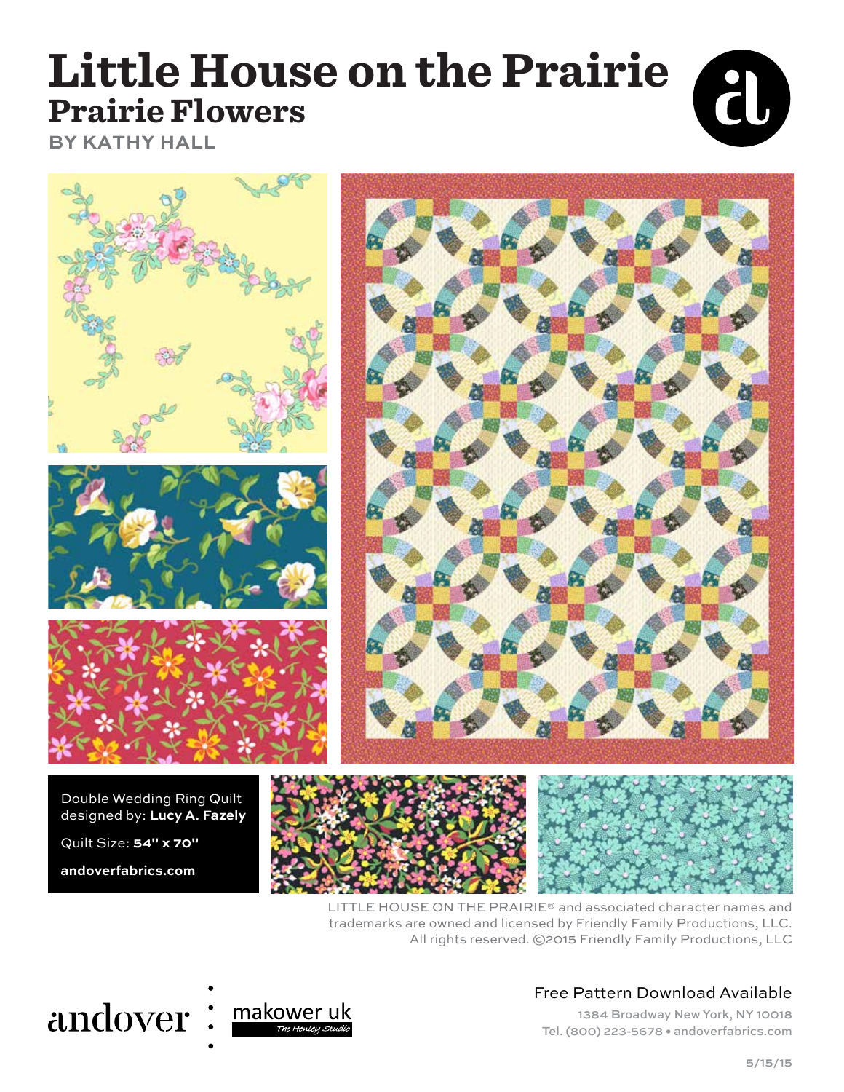### **Little House on the Prairie Prairie Flowers BY KATHY HALL**









Double Wedding Ring Quilt designed by: **Lucy A. Fazely**

Quilt Size: **54" x 70"**

**andoverfabrics.com**





LITTLE HOUSE ON THE PRAIRIE® and associated character names and trademarks are owned and licensed by Friendly Family Productions, LLC. All rights reserved. ©2015 Friendly Family Productions, LLC

## andover:



#### Free Pattern Download Available

1384 Broadway New York, NY 10018 Tel. (800) 223-5678 • andoverfabrics.com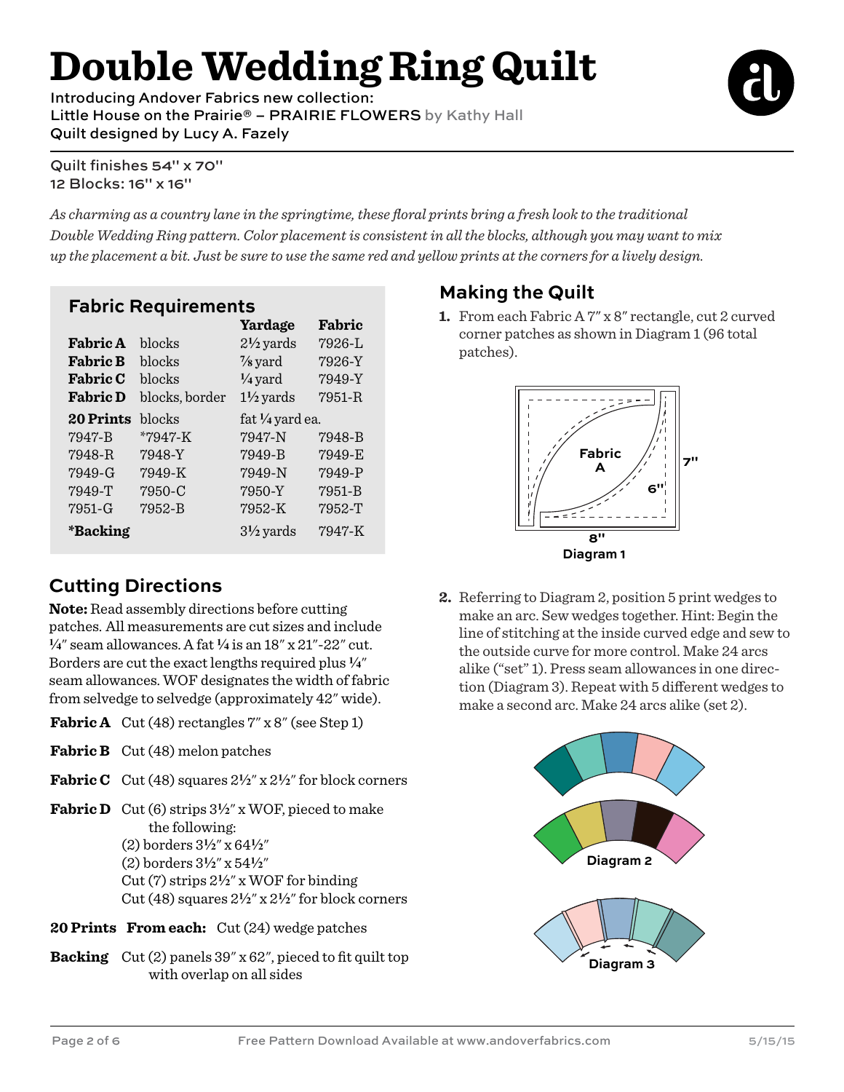# **Double Wedding Ring Quilt**

Introducing Andover Fabrics new collection: Little House on the Prairie® - PRAIRIE FLOWERS by Kathy Hall Quilt designed by Lucy A. Fazely



Quilt finishes 54" x 70" 12 Blocks: 16" x 16"

*As charming as a country lane in the springtime, these floral prints bring a fresh look to the traditional Double Wedding Ring pattern. Color placement is consistent in all the blocks, although you may want to mix up the placement a bit. Just be sure to use the same red and yellow prints at the corners for a lively design.*

#### **Fabric Requirements**

|                  |                | Yardage              | Fabric     |
|------------------|----------------|----------------------|------------|
| <b>Fabric A</b>  | blocks         | $2\frac{1}{2}$ yards | 7926-L     |
| <b>Fabric B</b>  | blocks         | $\frac{7}{8}$ yard   | 7926-Y     |
| <b>Fabric C</b>  | blocks         | $\frac{1}{4}$ yard   | 7949-Y     |
| <b>Fabric D</b>  | blocks, border | $1\frac{1}{2}$ yards | $7951 - R$ |
| <b>20 Prints</b> | blocks         | fat 1/4 yard ea.     |            |
| 7947-B           | *7947-K        | 7947-N               | 7948-B     |
| 7948-R           | 7948-Y         | 7949-B               | 7949-E     |
| 7949-G           | 7949-K         | 7949-N               | 7949-P     |
| 7949-T           | 7950-C         | 7950-Y               | 7951-B     |
| 7951-G           | 7952-B         | 7952-K               | 7952-T     |
| *Backing         |                | $3\frac{1}{2}$ yards | 7947-K     |

#### **Cutting Directions**

**Note:** Read assembly directions before cutting patches. All measurements are cut sizes and include **4**" seam allowances. A fat **4** is an 18" x 21"-22" cut. Borders are cut the exact lengths required plus **4**" seam allowances. WOF designates the width of fabric from selvedge to selvedge (approximately 42" wide).

- **Fabric A** Cut (48) rectangles  $7''$  x 8" (see Step 1)
- **Fabric B** Cut (48) melon patches
- **Fabric C** Cut (48) squares  $2\frac{1}{2}$ " x  $2\frac{1}{2}$ " for block corners

**Fabric D** Cut (6) strips  $3\frac{1}{2}$ " x WOF, pieced to make the following: (2) borders 3**2**" x 64**2**" (2) borders 3**2**" x 54**2**" Cut (7) strips 2**2**" x WOF for binding Cut (48) squares 2**2**" x 2**2**" for block corners

- **20 Prints From each:** Cut (24) wedge patches
- **Backing** Cut (2) panels 39" x 62", pieced to fit quilt top with overlap on all sides

#### **Making the Quilt**

**1.** From each Fabric A 7" x 8" rectangle, cut 2 curved corner patches as shown in Diagram 1 (96 total patches).



**2.** Referring to Diagram 2, position 5 print wedges to make an arc. Sew wedges together. Hint: Begin the line of stitching at the inside curved edge and sew to the outside curve for more control. Make 24 arcs alike ("set" 1). Press seam allowances in one direction (Diagram 3). Repeat with 5 different wedges to make a second arc. Make 24 arcs alike (set 2).

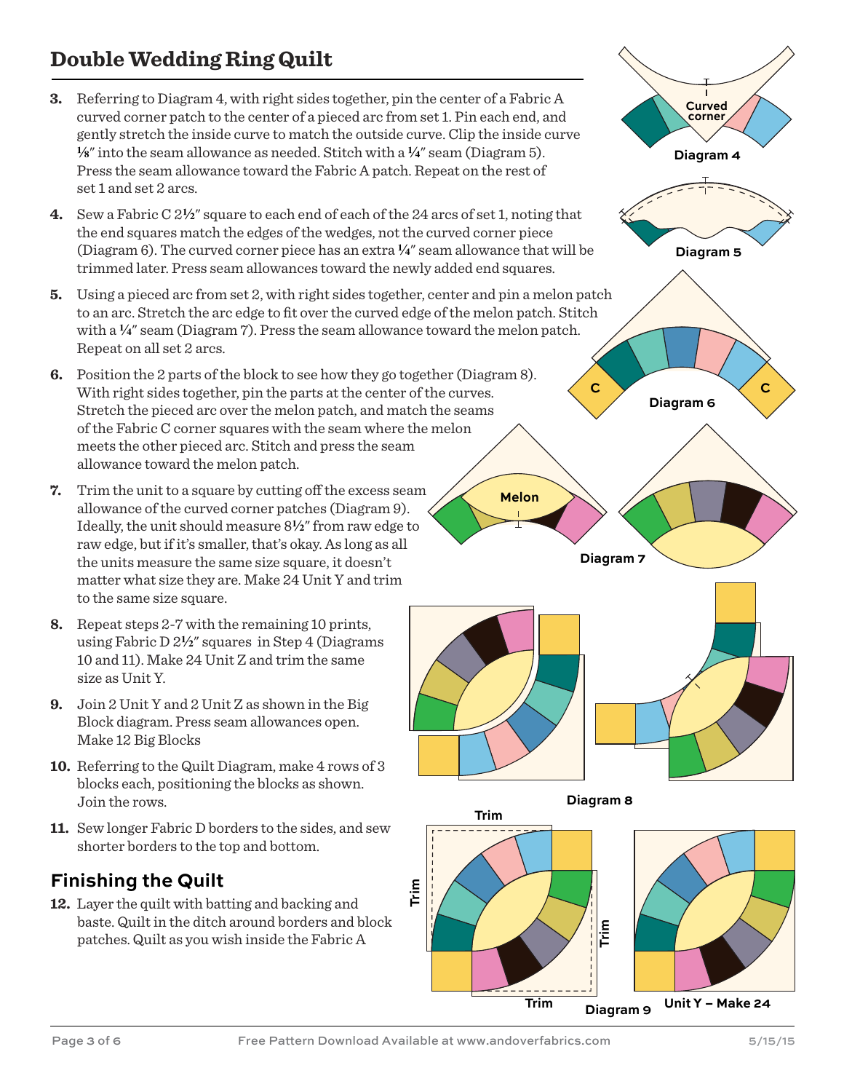#### **Double Wedding Ring Quilt**

- **3.** Referring to Diagram 4, with right sides together, pin the center of a Fabric A curved corner patch to the center of a pieced arc from set 1. Pin each end, and gently stretch the inside curve to match the outside curve. Clip the inside curve **8**" into the seam allowance as needed. Stitch with a **4**" seam (Diagram 5). Press the seam allowance toward the Fabric A patch. Repeat on the rest of set 1 and set 2 arcs.
- **4.** Sew a Fabric C 2**2**" square to each end of each of the 24 arcs of set 1, noting that the end squares match the edges of the wedges, not the curved corner piece (Diagram 6). The curved corner piece has an extra **4**" seam allowance that will be trimmed later. Press seam allowances toward the newly added end squares.
- **5.** Using a pieced arc from set 2, with right sides together, center and pin a melon patch to an arc. Stretch the arc edge to fit over the curved edge of the melon patch. Stitch with a  $\frac{1}{4}$ " seam (Diagram 7). Press the seam allowance toward the melon patch. Repeat on all set 2 arcs.
- **6.** Position the 2 parts of the block to see how they go together (Diagram 8). With right sides together, pin the parts at the center of the curves. Stretch the pieced arc over the melon patch, and match the seams of the Fabric C corner squares with the seam where the melon meets the other pieced arc. Stitch and press the seam allowance toward the melon patch.
- **7.** Trim the unit to a square by cutting off the excess seam allowance of the curved corner patches (Diagram 9). Ideally, the unit should measure 8**2**" from raw edge to raw edge, but if it's smaller, that's okay. As long as all the units measure the same size square, it doesn't matter what size they are. Make 24 Unit Y and trim to the same size square.
- **8.** Repeat steps 2-7 with the remaining 10 prints, using Fabric D 2**2**" squares in Step 4 (Diagrams 10 and 11). Make 24 Unit Z and trim the same size as Unit Y.
- **9.** Join 2 Unit Y and 2 Unit Z as shown in the Big Block diagram. Press seam allowances open. Make 12 Big Blocks
- **10.** Referring to the Quilt Diagram, make 4 rows of 3 blocks each, positioning the blocks as shown. Join the rows.
- **11.** Sew longer Fabric D borders to the sides, and sew shorter borders to the top and bottom.

#### **Finishing the Quilt**

**12.** Layer the quilt with batting and backing and baste. Quilt in the ditch around borders and block patches. Quilt as you wish inside the Fabric A



**Diagram 9**

**Trim**

**Trim**

**Trim**

**Unit Y – Make 24**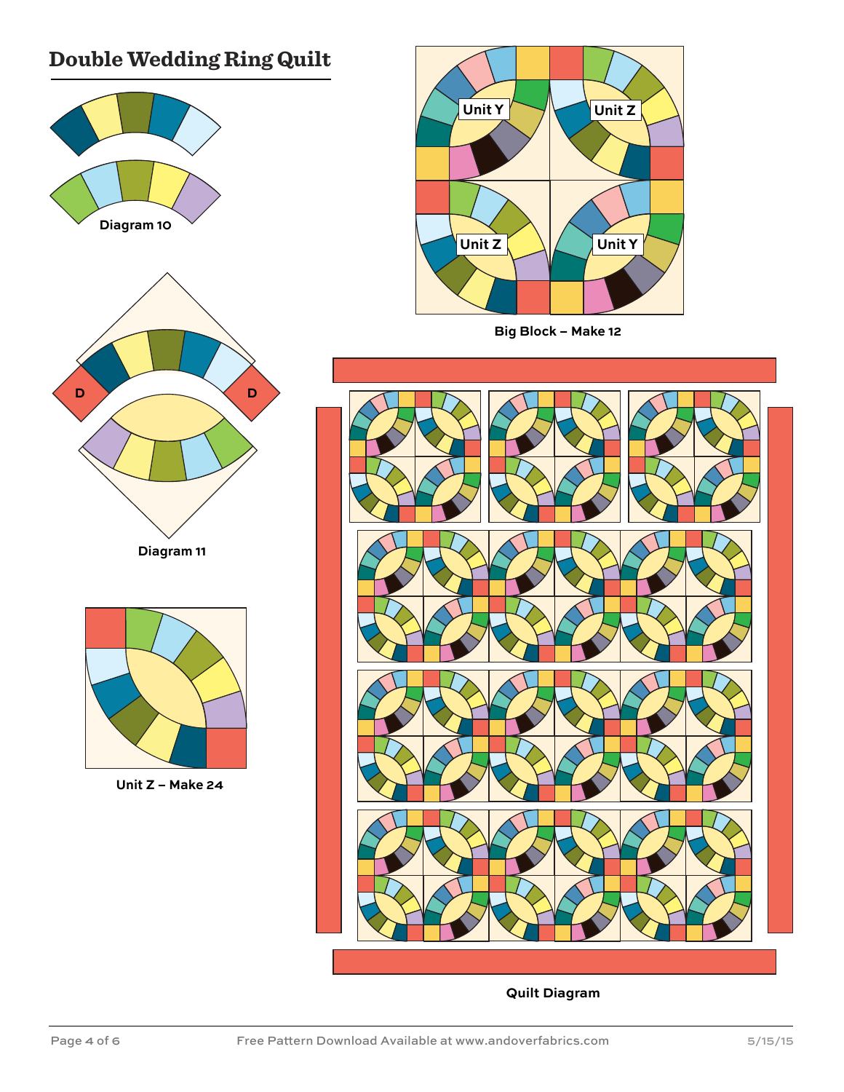#### **Double Wedding Ring Quilt**





**Big Block – Make 12**



**Quilt Diagram**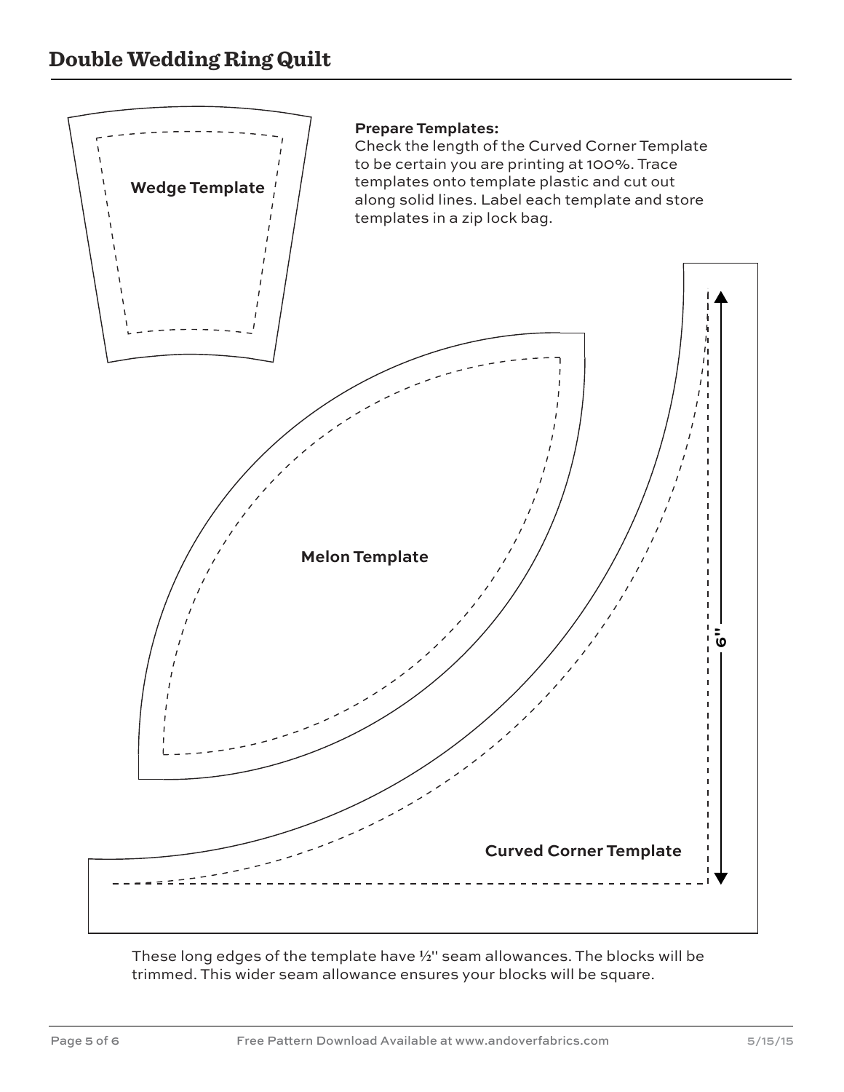

These long edges of the template have **2**" seam allowances. The blocks will be trimmed. This wider seam allowance ensures your blocks will be square.